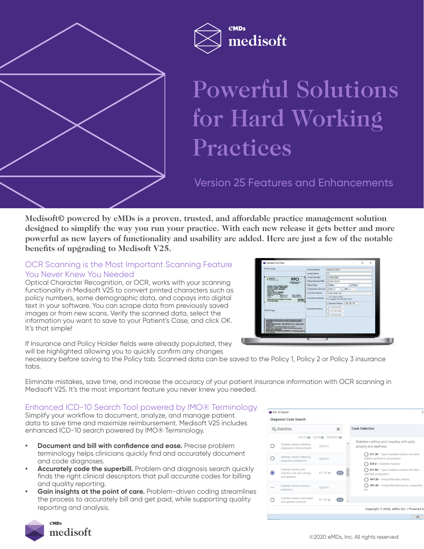



# Powerful Solutions for Hard Working Practices

Version 25 Features and Enhancements

**Medisoft© powered by eMDs is a proven, trusted, and affordable practice management solution designed to simplify the way you run your practice. With each new release it gets better and more powerful as new layers of functionality and usability are added. Here are just a few of the notable benefits of upgrading to Medisoft V25.**

#### OCR Scanning is the Most Important Scanning Feature You Never Knew You Needed

Optical Character Recognition, or OCR, works with your scanning functionality in Medisoft V25 to convert printed characters such as policy numbers, some demographic data, and copays into digital text in your software. You can scrape data from previously saved images or from new scans. Verify the scanned data, select the information you want to save to your Patient's Case, and click OK. It's that simple!

| Front Image                                                                                                                                                                                                                                                                                                                                                             | <b>Insured Name</b>      |                                             |
|-------------------------------------------------------------------------------------------------------------------------------------------------------------------------------------------------------------------------------------------------------------------------------------------------------------------------------------------------------------------------|--------------------------|---------------------------------------------|
|                                                                                                                                                                                                                                                                                                                                                                         |                          | <b>ROBERT B SMITH</b>                       |
|                                                                                                                                                                                                                                                                                                                                                                         | Group Name               | ⊡                                           |
|                                                                                                                                                                                                                                                                                                                                                                         | Group Number             | □ 6361230001                                |
|                                                                                                                                                                                                                                                                                                                                                                         | Policy Number/MBI        | 90512342303                                 |
| MEMBER NAME: ROBERT B SMITH                                                                                                                                                                                                                                                                                                                                             | <b>Policy Date</b>       | $\nabla$ End<br>$\nabla$ Start              |
| GROUP NUMBER: 4341230001                                                                                                                                                                                                                                                                                                                                                | Copayment Amount         | $\Box$ SP 40<br>$\sqrt{a}$ ov $\sqrt{a}$    |
| DATE OF BURTH 08/26/2001<br>MEMBER RESPONSIBILITY.                                                                                                                                                                                                                                                                                                                      | Insurance Name           | Covertry Health Care                        |
| <b>ORIG \$10035650</b><br>FRIMARY 120<br><b>SPECIALTY SAD</b><br>URGENT CARE 100<br>HOSPITAL 20%<br><b>ER 1200</b><br>Please refer to your Certificate of Coverage<br>medco<br>for coverage details.                                                                                                                                                                    | <b>Insurance Address</b> | $- P.$ O. Box 7170<br>London, KY 40742-7170 |
|                                                                                                                                                                                                                                                                                                                                                                         | <b>Insurance Phone</b>   | Service Phone: 1 866 765 7747               |
|                                                                                                                                                                                                                                                                                                                                                                         |                          | 1 900 639 9154                              |
| GHP__<br><b>PPO</b><br><b>Administered by Cit</b><br>MEMBER NUMBER 900123423-03<br><b>PLAN: PPO</b><br>Back Image<br>IN NETWORK COVERED SERVICES, EXCEPT EMERGENCES, MUST BE<br>PEREORNED BY FARTICIPITING PROVIDERS, UNLESS AUTHORIZED<br>IN ADVANCE.                                                                                                                  |                          | 1-877-865-2566                              |
|                                                                                                                                                                                                                                                                                                                                                                         |                          | 1-800-292-4470                              |
|                                                                                                                                                                                                                                                                                                                                                                         |                          |                                             |
| MEMBER SERVICES PHONE: 1.866 -766-7747, 7:00 a.m - 5:00 a.m. (CST).<br><b>Munday - Prides</b><br>EMERGENCY. Go to the nearest emergency more or call 911.<br>URGENT CARE: Call your doctor. To focate a contracted provider outside the<br>service area, call 1-800-620-9154.<br>MENTAL HEALTH OR CHEMICAL DEPENDENCY: Cut the Exhavioral Health Line<br>#1477-805-2500 |                          |                                             |

If Insurance and Policy Holder fields were already populated, they will be highlighted allowing you to quickly confirm any changes

necessary before saving to the Policy tab. Scanned data can be saved to the Policy 1, Policy 2 or Policy 3 insurance tabs.

Eliminate mistakes, save time, and increase the accuracy of your patient insurance information with OCR scanning in Medisoft V25. It's the most important feature you never knew you needed.

#### Enhanced ICD-10 Search Tool powered by IMO® Terminology

Simplify your workflow to document, analyze, and manage patient data to save time and maximize reimbursement. Medisoft V25 includes enhanced ICD-10 search powered by IMO® Terminology.

- **• Document and bill with confidence and ease.** Precise problem terminology helps clinicians quickly find and accurately document and code diagnoses.
- **• Accurately code the superbill.** Problem and diagnosis search quickly finds the right clinical descriptors that pull accurate codes for billing and quality reporting.
- **Gain insights at the point of care.** Problem-driven coding streamlines the process to accurately bill and get paid, while supporting quality reporting and analysis.



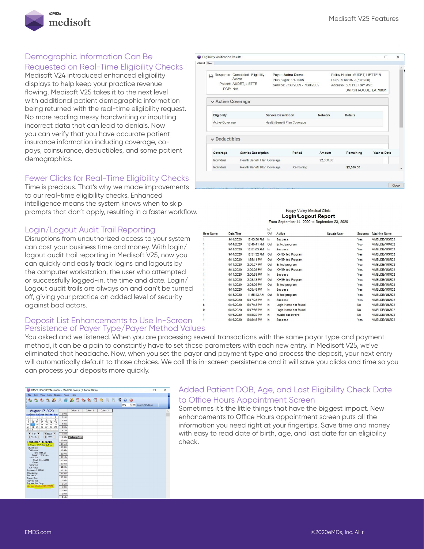

### Demographic Information Can Be

Requested on Real-Time Eligibility Checks

Medisoft V24 introduced enhanced eligibility displays to help keep your practice revenue flowing. Medisoft V25 takes it to the next level with additional patient demographic information being returned with the real-time eligibility request. No more reading messy handwriting or inputting incorrect data that can lead to denials. Now you can verify that you have accurate patient insurance information including coverage, copays, coinsurance, deductibles, and some patient demographics.

#### Fewer Clicks for Real-Time Eligibility Checks

Time is precious. That's why we made improvements to our real-time eligibility checks. Enhanced intelligence means the system knows when to skip prompts that don't apply, resulting in a faster workflow.

#### Login/Logout Audit Trail Reporting

Disruptions from unauthorized access to your system can cost your business time and money. With login/ logout audit trail reporting in Medisoft V25, now you can quickly and easily track logins and logouts by the computer workstation, the user who attempted or successfully logged-in, the time and date. Login/ Logout audit trails are always on and can't be turned off, giving your practice an added level of security against bad actors.

#### Deposit List Enhancements to Use In-Screen Persistence of Payer Type/Payer Method Values

| tailed Basic           |                                                                      |                                                                             |                |                                                                                                                |                     |  |
|------------------------|----------------------------------------------------------------------|-----------------------------------------------------------------------------|----------------|----------------------------------------------------------------------------------------------------------------|---------------------|--|
| ≏<br>PCP: N/A          | Response: Completed Eligibility:<br>Active<br>Patient: AUDET, LIETTE | Paver: Aetna Demo<br>Plan begin: 1/1/2005<br>Service: 7/30/2009 - 7/30/2009 |                | Policy Holder: AUDET, LIETTE B<br>DOB: 7/18/1979 (Female)<br>Address: 305 HIL RAY AVE<br>BATON ROUGE, LA 70801 |                     |  |
| v Active Coverage      |                                                                      |                                                                             |                |                                                                                                                |                     |  |
| Eligibility            |                                                                      | <b>Service Description</b>                                                  | <b>Network</b> | <b>Details</b>                                                                                                 |                     |  |
| <b>Active Coverage</b> |                                                                      | Health Benefit Plan Coverage                                                |                |                                                                                                                |                     |  |
| $\vee$ Deductibles     |                                                                      |                                                                             |                |                                                                                                                |                     |  |
| Coverage               | <b>Service Description</b>                                           | Period                                                                      | Amount         | Remaining                                                                                                      | <b>Year to Date</b> |  |
| Individual             | Health Benefit Plan Coverage                                         |                                                                             | \$2,500.00     |                                                                                                                |                     |  |
| Individual             | Health Benefit Plan Coverage                                         | Remaining                                                                   |                | \$2,500.00                                                                                                     |                     |  |

Happy Valley Medical Clinic **Login/Logout Report** From September 14, 2020 to September 23, 2020

| <b>User Name</b> | Date/Time |             | ln/<br>Out    | Action               | <b>Update User</b> | <b>Success</b> | <b>Machine Name</b> |  |
|------------------|-----------|-------------|---------------|----------------------|--------------------|----------------|---------------------|--|
|                  | 9/14/2020 | 12:43:50 PM | In            | <b>Success</b>       |                    | Yes            | VMSLDEVUSR02        |  |
|                  | 9/14/2020 | 12:45:41 PM | Out           | Exited program       |                    | Yes            | VMSLDEVUSR02        |  |
|                  | 9/14/2020 | 12:51:03 PM | In            | <b>Success</b>       |                    | Yes            | VMSLDEVUSR02        |  |
|                  | 9/14/2020 | 12:51:32 PM | Out           | [OH]Exited Program   |                    | Yes            | VMSLDEVUSR02        |  |
|                  | 9/14/2020 | 1:35:11 PM  | Out           | [OH]Exited Program   |                    | Yes            | VMSLDEVUSR02        |  |
|                  | 9/14/2020 | 2:00:27 PM  | Out           | Exited program       |                    | Yes            | VMSLDEVUSR02        |  |
|                  | 9/14/2020 | 2:00:29 PM  | Out           | [OH]Exited Program   |                    | Yes            | VMSLDEVUSR02        |  |
|                  | 9/14/2020 | 2:00:38 PM  | <b>In</b>     | <b>Success</b>       |                    | Yes            | VMSLDEVUSR02        |  |
|                  | 9/14/2020 | 2:08:13 PM  | Out           | [OH]Exited Program   |                    | Yes            | VMSLDEVUSR02        |  |
|                  | 9/14/2020 | 2:08:26 PM  | Out           | Exited program       |                    | Yes            | VMSLDEVUSR02        |  |
|                  | 9/14/2020 | 4:05:48 PM  | In.           | <b>Success</b>       |                    | Yes            | VMSLDEVUSR02        |  |
|                  | 9/15/2020 | 11:55:43 AM | Out           | Exited program       |                    | Yes            | VMSLDEVUSR02        |  |
|                  | 9/16/2020 | 5:47:23 PM  | <b>In</b>     | <b>Success</b>       |                    | Yes            | VMSLDEVUSR02        |  |
|                  | 9/16/2020 | 5:47:43 PM  | $\mathsf{In}$ | Login Name not found |                    | <b>No</b>      | VMSLDEVUSR02        |  |
| 9                | 9/16/2020 | 5:47:56 PM  | In.           | Login Name not found |                    | <b>No</b>      | VMSLDEVUSR02        |  |
|                  | 9/16/2020 | 5:48:02 PM  | $\mathsf{In}$ | Invalid password     |                    | <b>No</b>      | VMSLDEVUSR02        |  |
|                  | 9/16/2020 | 5:48:15 PM  | <b>In</b>     | <b>Success</b>       |                    | Yes            | VMSLDEVUSR02        |  |
|                  |           |             |               |                      |                    |                |                     |  |

You asked and we listened. When you are processing several transactions with the same payor type and payment method, it can be a pain to constantly have to set those parameters with each new entry. In Medisoft V25, we've eliminated that headache. Now, when you set the payor and payment type and process the deposit, your next entry will automatically default to those choices. We call this in-screen persistence and it will save you clicks and time so you can process your deposits more quickly.

é

| Office Hours Professional - Medical Group (Tutorial Data)                                                                                           |                    |                     |                     |          |     | $\Box$                         | $\times$ |
|-----------------------------------------------------------------------------------------------------------------------------------------------------|--------------------|---------------------|---------------------|----------|-----|--------------------------------|----------|
| Edit View Lists Reports<br>: File                                                                                                                   |                    | Tools Help          |                     |          |     |                                |          |
| もちもうみまさることもう今日日限のの                                                                                                                                  |                    |                     |                     |          | DFQ | $\vee$ $\circ$ Queayeman, Dean |          |
| August 17, 2020                                                                                                                                     |                    | Column <sub>1</sub> | Cokimn <sub>2</sub> | Column 3 |     |                                |          |
| Sun Mon Tue Wed Thu Fri Sat                                                                                                                         | 8:00a              |                     |                     |          |     |                                |          |
| 1                                                                                                                                                   | 8:15a              |                     |                     |          |     |                                |          |
| $\overline{\mathbf{3}}$<br>5<br>ĥ.<br>$\overline{2}$<br>$\overline{t}$<br>8<br>$\overline{a}$<br>$\overline{9}$<br>12<br>10<br>13<br>14<br>15<br>11 | 8:30a              |                     |                     |          |     |                                |          |
| 16<br>17<br>19<br>20<br>21<br>22<br>18                                                                                                              | 8:45a              |                     |                     |          |     |                                |          |
| 23<br>24<br>25<br>26<br>27<br>28<br>29                                                                                                              | 9:00a              |                     |                     |          |     |                                |          |
| 31<br>30                                                                                                                                            | 9:15 <sub>a</sub>  |                     |                     |          |     |                                |          |
| Day ><br>$\blacksquare$<br>$\blacktriangleleft$ Month                                                                                               | 9:30a              |                     |                     |          |     |                                |          |
| $\blacktriangleleft$ Year $\blacktriangleright$<br>4 Week b                                                                                         | 9:45a              | Feldkamp, 7 F       |                     |          |     |                                |          |
| Feldkamp, Marorie                                                                                                                                   | 10:00a             |                     |                     |          |     |                                |          |
| Bithdate: 1/1/1969 [51 yrs]                                                                                                                         | 10:15a             |                     |                     |          |     |                                |          |
| Home Phone:                                                                                                                                         | 10:30a             |                     |                     |          |     |                                |          |
| Cell Phone:                                                                                                                                         | 10:45a             |                     |                     |          |     |                                |          |
| Time: 9:45 am<br>Length: 15 minutes                                                                                                                 | 11:00a             |                     |                     |          |     |                                |          |
| <b>Besource:</b>                                                                                                                                    | 11:15a             |                     |                     |          |     |                                |          |
| Chart: FELMA000                                                                                                                                     | 11:30a             |                     |                     |          |     |                                |          |
| Coper.<br>Remainder:                                                                                                                                | 11:45a             |                     |                     |          |     |                                |          |
| AR Status:                                                                                                                                          | 12:00p             |                     |                     |          |     |                                |          |
| Insurance 1: CIG00                                                                                                                                  | 12:150             |                     |                     |          |     |                                |          |
| Insurance 2:<br>Insurance 3:                                                                                                                        | 12:30 <sub>D</sub> |                     |                     |          |     |                                |          |
| Amount Due:                                                                                                                                         | 12:450             |                     |                     |          |     |                                |          |
| Payment Due:                                                                                                                                        | 1:00 <sub>D</sub>  |                     |                     |          |     |                                |          |
| Payment Due Every.                                                                                                                                  | 1:150              |                     |                     |          |     |                                |          |
| Elig. Last Checked: 8/27/2020                                                                                                                       | 1:30p              |                     |                     |          |     |                                |          |
|                                                                                                                                                     | 1:450              |                     |                     |          |     |                                |          |
|                                                                                                                                                     | 2:00 <sub>D</sub>  |                     |                     |          |     |                                |          |

#### Added Patient DOB, Age, and Last Eligibility Check Date to Office Hours Appointment Screen

Sometimes it's the little things that have the biggest impact. New enhancements to Office Hours appointment screen puts all the information you need right at your fingertips. Save time and money with easy to read date of birth, age, and last date for an eligibility check.